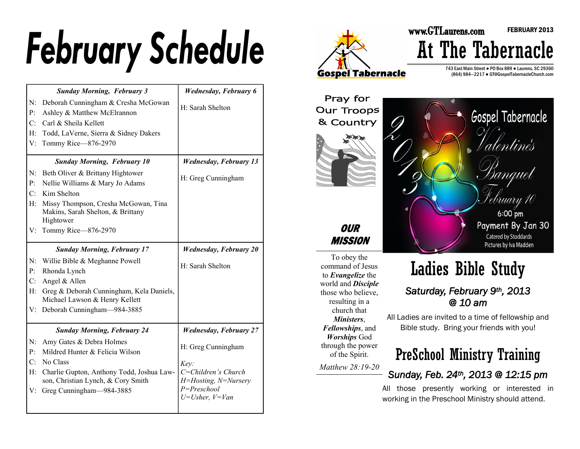# **February Schedule**

|                               | <b>Sunday Morning, February 3</b>                                                                                                                                               | <b>Wednesday, February 6</b>                                              |
|-------------------------------|---------------------------------------------------------------------------------------------------------------------------------------------------------------------------------|---------------------------------------------------------------------------|
| N:<br>P:<br>C:<br>H:<br>V:    | Deborah Cunningham & Cresha McGowan<br>Ashley & Matthew McElrannon<br>Carl & Sheila Kellett<br>Todd, LaVerne, Sierra & Sidney Dakers<br>Tommy Rice-876-2970                     | H: Sarah Shelton                                                          |
|                               | <b>Sunday Morning, February 10</b>                                                                                                                                              | <b>Wednesday, February 13</b>                                             |
| N:<br>P:<br>C:                | Beth Oliver & Brittany Hightower<br>Nellie Williams & Mary Jo Adams<br>Kim Shelton                                                                                              | H: Greg Cunningham                                                        |
| $H$ :                         | Missy Thompson, Cresha McGowan, Tina<br>Makins, Sarah Shelton, & Brittany<br>Hightower                                                                                          |                                                                           |
| V:                            | Tommy Rice-876-2970                                                                                                                                                             |                                                                           |
|                               | <b>Sunday Morning, February 17</b>                                                                                                                                              | <b>Wednesday, February 20</b>                                             |
| N:<br>P:<br>$C_{\cdot}$<br>V: | Willie Bible & Meghanne Powell<br>Rhonda Lynch<br>Angel & Allen<br>H: Greg & Deborah Cunningham, Kela Daniels,<br>Michael Lawson & Henry Kellett<br>Deborah Cunningham-984-3885 | H: Sarah Shelton                                                          |
|                               | <b>Sunday Morning, February 24</b>                                                                                                                                              | <b>Wednesday, February 27</b>                                             |
| N:<br>P:<br>C:<br>H:          | Amy Gates & Debra Holmes<br>Mildred Hunter & Felicia Wilson<br>No Class<br>Charlie Gupton, Anthony Todd, Joshua Law-<br>son, Christian Lynch, & Cory Smith                      | H: Greg Cunningham<br>Key:<br>C=Children's Church<br>H=Hosting, N=Nursery |



All those presently working or interested in working in the Preschool Ministry should attend.